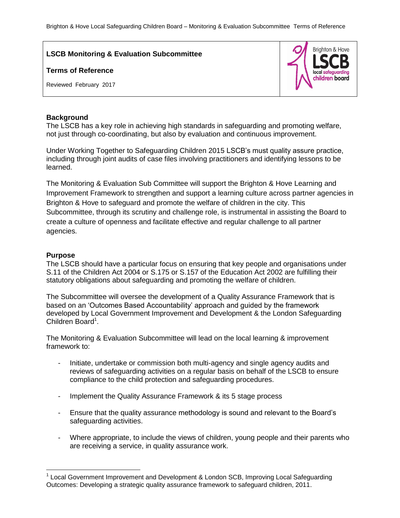## **LSCB Monitoring & Evaluation Subcommittee**

#### **Terms of Reference**

Reviewed February 2017



#### **Background**

The LSCB has a key role in achieving high standards in safeguarding and promoting welfare, not just through co-coordinating, but also by evaluation and continuous improvement.

Under Working Together to Safeguarding Children 2015 LSCB's must quality assure practice, including through joint audits of case files involving practitioners and identifying lessons to be learned.

The Monitoring & Evaluation Sub Committee will support the Brighton & Hove Learning and Improvement Framework to strengthen and support a learning culture across partner agencies in Brighton & Hove to safeguard and promote the welfare of children in the city. This Subcommittee, through its scrutiny and challenge role, is instrumental in assisting the Board to create a culture of openness and facilitate effective and regular challenge to all partner agencies.

# **Purpose**

 $\overline{a}$ 

The LSCB should have a particular focus on ensuring that key people and organisations under S.11 of the Children Act 2004 or S.175 or S.157 of the Education Act 2002 are fulfilling their statutory obligations about safeguarding and promoting the welfare of children.

The Subcommittee will oversee the development of a Quality Assurance Framework that is based on an 'Outcomes Based Accountability' approach and guided by the framework developed by Local Government Improvement and Development & the London Safeguarding Children Board<sup>1</sup>.

The Monitoring & Evaluation Subcommittee will lead on the local learning & improvement framework to:

- Initiate, undertake or commission both multi-agency and single agency audits and reviews of safeguarding activities on a regular basis on behalf of the LSCB to ensure compliance to the child protection and safeguarding procedures.
- Implement the Quality Assurance Framework & its 5 stage process
- Ensure that the quality assurance methodology is sound and relevant to the Board's safeguarding activities.
- Where appropriate, to include the views of children, young people and their parents who are receiving a service, in quality assurance work.

<sup>&</sup>lt;sup>1</sup> Local Government Improvement and Development & London SCB, Improving Local Safeguarding Outcomes: Developing a strategic quality assurance framework to safeguard children, 2011.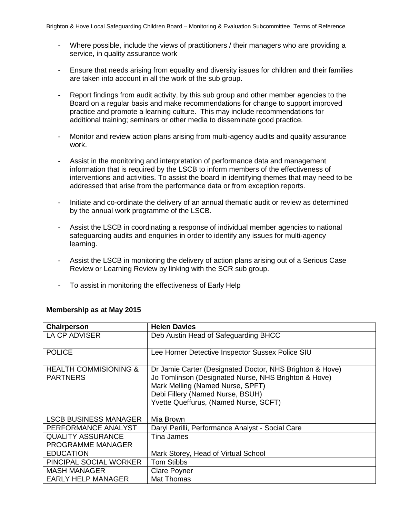- Where possible, include the views of practitioners / their managers who are providing a service, in quality assurance work
- Ensure that needs arising from equality and diversity issues for children and their families are taken into account in all the work of the sub group.
- Report findings from audit activity, by this sub group and other member agencies to the Board on a regular basis and make recommendations for change to support improved practice and promote a learning culture. This may include recommendations for additional training; seminars or other media to disseminate good practice.
- Monitor and review action plans arising from multi-agency audits and quality assurance work.
- Assist in the monitoring and interpretation of performance data and management information that is required by the LSCB to inform members of the effectiveness of interventions and activities. To assist the board in identifying themes that may need to be addressed that arise from the performance data or from exception reports.
- Initiate and co-ordinate the delivery of an annual thematic audit or review as determined by the annual work programme of the LSCB.
- Assist the LSCB in coordinating a response of individual member agencies to national safeguarding audits and enquiries in order to identify any issues for multi-agency learning.
- Assist the LSCB in monitoring the delivery of action plans arising out of a Serious Case Review or Learning Review by linking with the SCR sub group.
- To assist in monitoring the effectiveness of Early Help

| Chairperson                                         | <b>Helen Davies</b>                                                                                                                                                                                                               |
|-----------------------------------------------------|-----------------------------------------------------------------------------------------------------------------------------------------------------------------------------------------------------------------------------------|
| LA CP ADVISER                                       | Deb Austin Head of Safeguarding BHCC                                                                                                                                                                                              |
| <b>POLICE</b>                                       | Lee Horner Detective Inspector Sussex Police SIU                                                                                                                                                                                  |
| <b>HEALTH COMMISIONING &amp;</b><br><b>PARTNERS</b> | Dr Jamie Carter (Designated Doctor, NHS Brighton & Hove)<br>Jo Tomlinson (Designated Nurse, NHS Brighton & Hove)<br>Mark Melling (Named Nurse, SPFT)<br>Debi Fillery (Named Nurse, BSUH)<br>Yvette Queffurus, (Named Nurse, SCFT) |
| <b>LSCB BUSINESS MANAGER</b>                        | Mia Brown                                                                                                                                                                                                                         |
| PERFORMANCE ANALYST                                 | Daryl Perilli, Performance Analyst - Social Care                                                                                                                                                                                  |
| <b>QUALITY ASSURANCE</b>                            | Tina James                                                                                                                                                                                                                        |
| <b>PROGRAMME MANAGER</b>                            |                                                                                                                                                                                                                                   |
| <b>EDUCATION</b>                                    | Mark Storey, Head of Virtual School                                                                                                                                                                                               |
| PINCIPAL SOCIAL WORKER                              | <b>Tom Stibbs</b>                                                                                                                                                                                                                 |
| <b>MASH MANAGER</b>                                 | <b>Clare Poyner</b>                                                                                                                                                                                                               |
| <b>EARLY HELP MANAGER</b>                           | Mat Thomas                                                                                                                                                                                                                        |

### **Membership as at May 2015**